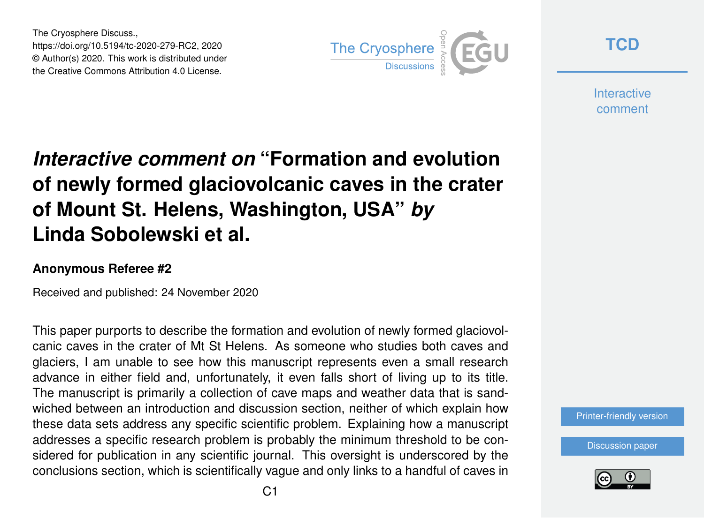The Cryosphere Discuss., https://doi.org/10.5194/tc-2020-279-RC2, 2020 © Author(s) 2020. This work is distributed under the Creative Commons Attribution 4.0 License.



**[TCD](https://tc.copernicus.org/preprints/)**

**Interactive** comment

## *Interactive comment on* **"Formation and evolution of newly formed glaciovolcanic caves in the crater of Mount St. Helens, Washington, USA"** *by* **Linda Sobolewski et al.**

## **Anonymous Referee #2**

Received and published: 24 November 2020

This paper purports to describe the formation and evolution of newly formed glaciovolcanic caves in the crater of Mt St Helens. As someone who studies both caves and glaciers, I am unable to see how this manuscript represents even a small research advance in either field and, unfortunately, it even falls short of living up to its title. The manuscript is primarily a collection of cave maps and weather data that is sandwiched between an introduction and discussion section, neither of which explain how these data sets address any specific scientific problem. Explaining how a manuscript addresses a specific research problem is probably the minimum threshold to be considered for publication in any scientific journal. This oversight is underscored by the conclusions section, which is scientifically vague and only links to a handful of caves in



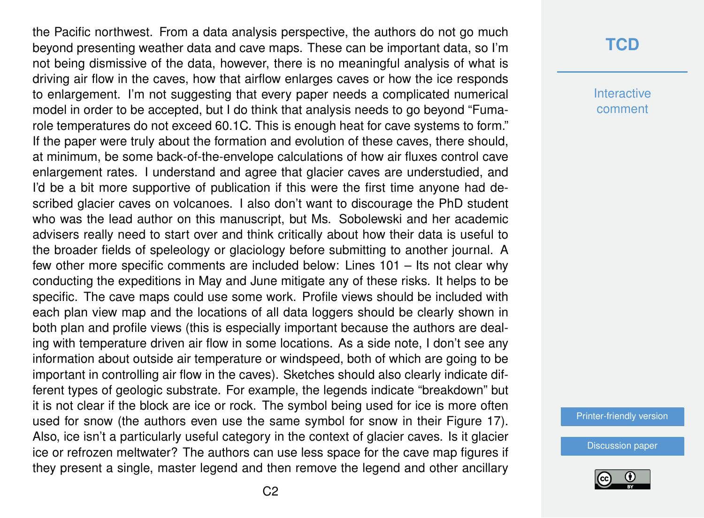the Pacific northwest. From a data analysis perspective, the authors do not go much beyond presenting weather data and cave maps. These can be important data, so I'm not being dismissive of the data, however, there is no meaningful analysis of what is driving air flow in the caves, how that airflow enlarges caves or how the ice responds to enlargement. I'm not suggesting that every paper needs a complicated numerical model in order to be accepted, but I do think that analysis needs to go beyond "Fumarole temperatures do not exceed 60.1C. This is enough heat for cave systems to form." If the paper were truly about the formation and evolution of these caves, there should, at minimum, be some back-of-the-envelope calculations of how air fluxes control cave enlargement rates. I understand and agree that glacier caves are understudied, and I'd be a bit more supportive of publication if this were the first time anyone had described glacier caves on volcanoes. I also don't want to discourage the PhD student who was the lead author on this manuscript, but Ms. Sobolewski and her academic advisers really need to start over and think critically about how their data is useful to the broader fields of speleology or glaciology before submitting to another journal. A few other more specific comments are included below: Lines 101 – Its not clear why conducting the expeditions in May and June mitigate any of these risks. It helps to be specific. The cave maps could use some work. Profile views should be included with each plan view map and the locations of all data loggers should be clearly shown in both plan and profile views (this is especially important because the authors are dealing with temperature driven air flow in some locations. As a side note, I don't see any information about outside air temperature or windspeed, both of which are going to be important in controlling air flow in the caves). Sketches should also clearly indicate different types of geologic substrate. For example, the legends indicate "breakdown" but it is not clear if the block are ice or rock. The symbol being used for ice is more often used for snow (the authors even use the same symbol for snow in their Figure 17). Also, ice isn't a particularly useful category in the context of glacier caves. Is it glacier ice or refrozen meltwater? The authors can use less space for the cave map figures if they present a single, master legend and then remove the legend and other ancillary

## **[TCD](https://tc.copernicus.org/preprints/)**

**Interactive** comment

[Printer-friendly version](https://tc.copernicus.org/preprints/tc-2020-279/tc-2020-279-RC2-print.pdf)

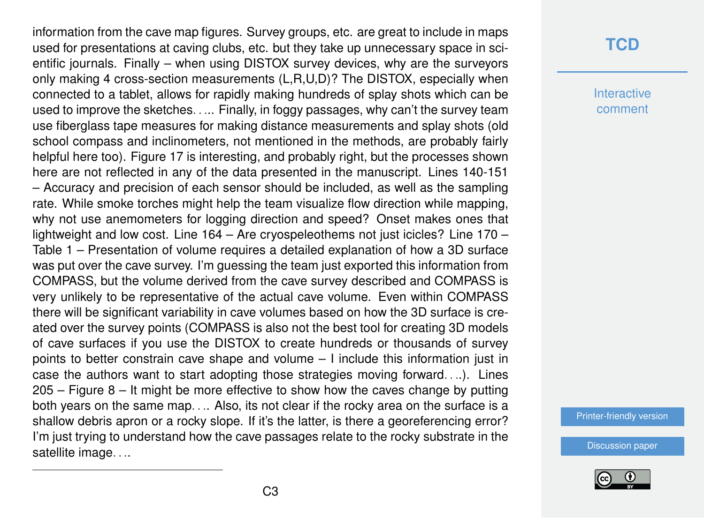information from the cave map figures. Survey groups, etc. are great to include in maps used for presentations at caving clubs, etc. but they take up unnecessary space in scientific journals. Finally – when using DISTOX survey devices, why are the surveyors only making 4 cross-section measurements (L,R,U,D)? The DISTOX, especially when connected to a tablet, allows for rapidly making hundreds of splay shots which can be used to improve the sketches. . ... Finally, in foggy passages, why can't the survey team use fiberglass tape measures for making distance measurements and splay shots (old school compass and inclinometers, not mentioned in the methods, are probably fairly helpful here too). Figure 17 is interesting, and probably right, but the processes shown here are not reflected in any of the data presented in the manuscript. Lines 140-151 – Accuracy and precision of each sensor should be included, as well as the sampling rate. While smoke torches might help the team visualize flow direction while mapping, why not use anemometers for logging direction and speed? Onset makes ones that lightweight and low cost. Line 164 – Are cryospeleothems not just icicles? Line 170 – Table 1 – Presentation of volume requires a detailed explanation of how a 3D surface was put over the cave survey. I'm guessing the team just exported this information from COMPASS, but the volume derived from the cave survey described and COMPASS is very unlikely to be representative of the actual cave volume. Even within COMPASS there will be significant variability in cave volumes based on how the 3D surface is created over the survey points (COMPASS is also not the best tool for creating 3D models of cave surfaces if you use the DISTOX to create hundreds or thousands of survey points to better constrain cave shape and volume – I include this information just in case the authors want to start adopting those strategies moving forward. . ..). Lines 205 – Figure 8 – It might be more effective to show how the caves change by putting both years on the same map. . .. Also, its not clear if the rocky area on the surface is a shallow debris apron or a rocky slope. If it's the latter, is there a georeferencing error? I'm just trying to understand how the cave passages relate to the rocky substrate in the satellite image. . ..

## **[TCD](https://tc.copernicus.org/preprints/)**

**Interactive** comment

[Printer-friendly version](https://tc.copernicus.org/preprints/tc-2020-279/tc-2020-279-RC2-print.pdf)